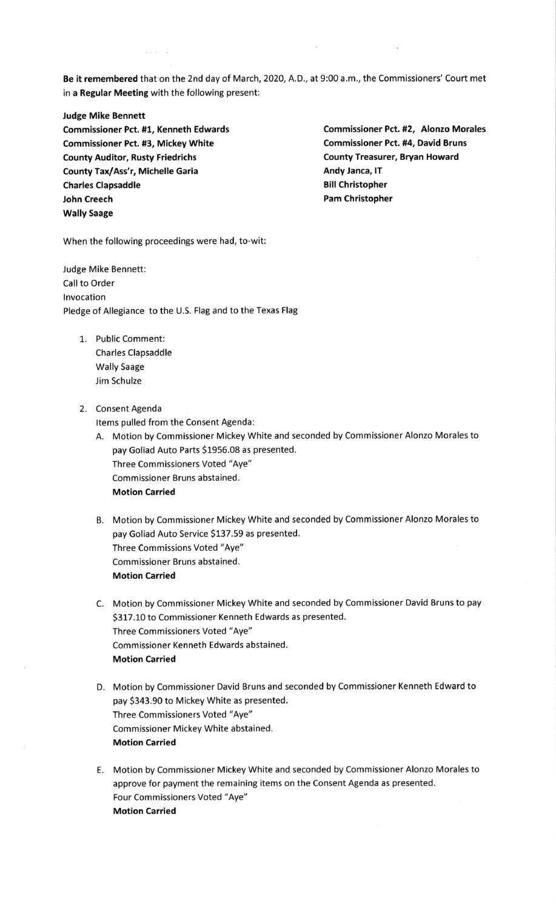Be it remembered that on the 2nd day of March, 2020, A.D., at 9:00 a.m., the Commissioners' Court met in a Regular Meeting with the following present:

Judge Mike Bennett Commissioner Pct. #1, Kenneth Edwards Commissioner Pct. #2, Alonzo Morales Commissioner Pct. #3, Mickey White Commissioner Pct. #4, David Bruns County Auditor, Rusty Friedrichs county Treasurer, Bryan Howard County Tax/Ass'r, Michelle Garia Andy Janca, IT Charles Clapsaddle **Bill Christopher** Bill Christopher John Creech **Pam Christopher** Pam Christopher Wally Saage

 $\overline{a}$  ,  $\overline{a}$  ,  $\overline{a}$ 

When the following proceedings were had, to-wit:

Judge Mike Bennett: call to order lnvocation Pledge of Allegiance to the U.5. Flag and to the Texas Flag

- 1. Public comment: Charles Clapsaddle Wally Saage Jim Schulze
- 2. Consent Agenda

Items pulled from the consent Agenda:

- A. Motion by Commissioner Mickey White and seconded by Commissioner Alonzo Morales to pay Goliad Auto Parts \$1956.08 as presented. Three Commissioners Voted "Aye" Commissioner Bruns abstained. Motion Carried
- B. Motion by Commissioner Mickey White and seconded by Commissioner Alonzo Morales to pay Goliad Auto Service \$137.59 as presented. Three Commissions Voted "Aye" commissioner Bruns abstained. Motion Carried
- C. Motion by Commissioner Mickey White and seconded by Commissioner David Bruns to pay S317.10 to Commissioner Kenneth Edwards as presented. Three Commissioners Voted "Aye" commissioner Kenneth Edwards abstained. Motion Carried
- D. Motion by Commissioner David Bruns and seconded by Commissioner Kenneth Edward to pay S343.90 to Mickey White as presented. Three Commissioners Voted "Aye" Commissioner Mickey White abstained. Motion Carried
- E. Motion by Commissioner Mickey White and seconded by Commissioner Alonzo Morales to approve for payment the remaining items on the Consent Agenda as presented. Four Commissioners Voted "Aye" Motion Carried